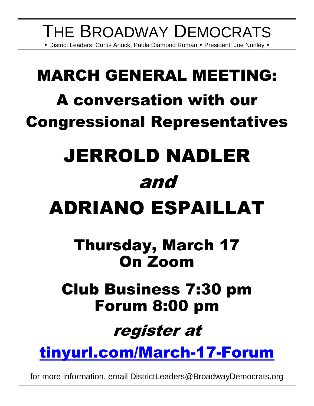### THE BROADWAY DEMOCRATS • District Leaders: Curtis Arluck, Paula Diamond Román • President: Joe Nunley •

# MARCH GENERAL MEETING: A conversation with our Congressional Representatives

# JERROLD NADLER and

# ADRIANO ESPAILLAT

## Thursday, March 17 On Zoom

### Club Business 7:30 pm Forum 8:00 pm

## register at

[tinyurl.com/March-17-Forum](https://tinyurl.com/March-17-Forum)

for more information, email DistrictLeaders@BroadwayDemocrats.org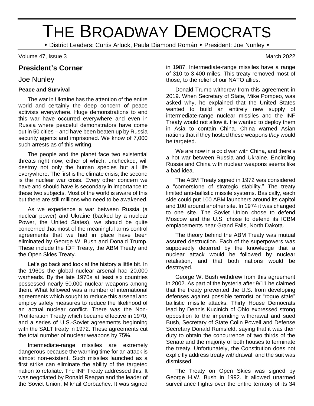## THE BROADWAY DEMOCRATS

\* District Leaders: Curtis Arluck, Paula Diamond Román \* President: Joe Nunley \*

Volume 47, Issue 3 March 2022

#### **President's Corner**

#### Joe Nunley

#### **Peace and Survival**

The war in Ukraine has the attention of the entire world and certainly the deep concern of peace activists everywhere. Huge demonstrations to end this war have occurred everywhere and even in Russia where peaceful demonstrators have come out in 50 cities – and have been beaten up by Russia security agents and imprisoned. We know of 7,000 such arrests as of this writing.

The people and the planet face two existential threats right now, either of which, unchecked, will destroy not only the human species but all life everywhere. The first is the climate crisis; the second is the nuclear war crisis. Every other concern we have and should have is secondary in importance to these two subjects. Most of the world is aware of this but there are still millions who need to be awakened.

As we experience a war between Russia (a nuclear power) and Ukraine (backed by a nuclear Power, the United States), we should be quite concerned that most of the meaningful arms control agreements that we had in place have been eliminated by George W. Bush and Donald Trump. These include the IDF Treaty, the ABM Treaty and the Open Skies Treaty.

Let's go back and look at the history a little bit. In the 1960s the global nuclear arsenal had 20,000 warheads. By the late 1970s at least six countries possessed nearly 50,000 nuclear weapons among them. What followed was a number of international agreements which sought to reduce this arsenal and employ safety measures to reduce the likelihood of an actual nuclear conflict. There was the Non-Proliferation Treaty which became effective in 1970, and a series of U.S.-Soviet agreements beginning with the SALT treaty in 1972. These agreements cut the total number of nuclear weapons by 75%.

Intermediate-range missiles are extremely dangerous because the warning time for an attack is almost non-existent. Such missiles launched as a first strike can eliminate the ability of the targeted nation to retaliate. The INF Treaty addressed this. It was negotiated by Ronald Reagan and the leader of the Soviet Union, Mikhail Gorbachev. It was signed

in 1987. Intermediate-range missiles have a range of 310 to 3,400 miles. This treaty removed most of those, to the relief of our NATO allies.

Donald Trump withdrew from this agreement in 2019. When Secretary of State, Mike Pompeo, was asked why, he explained that the United States wanted to build an entirely new supply of intermediate-range nuclear missiles and the INF Treaty would not allow it. He wanted to deploy them in Asia to contain China. China warned Asian nations that if they hosted these weapons *they* would be targeted.

We are now in a cold war with China, and there's a hot war between Russia and Ukraine. Encircling Russia and China with nuclear weapons seems like a bad idea.

The ABM Treaty signed in 1972 was considered a "cornerstone of strategic stability." The treaty limited anti-ballistic missile systems. Basically, each side could put 100 ABM launchers around its capitol and 100 around another site. In 1974 it was changed to one site. The Soviet Union chose to defend Moscow and the U.S. chose to defend its ICBM emplacements near Grand Falls, North Dakota.

The theory behind the ABM Treaty was mutual assured destruction. Each of the superpowers was supposedly deterred by the knowledge that a nuclear attack would be followed by nuclear retaliation, and that both nations would be destroyed.

George W. Bush withdrew from this agreement in 2002. As part of the hysteria after 9/11 he claimed that the treaty prevented the U.S. from developing defenses against possible terrorist or "rogue state" ballistic missile attacks. Thirty House Democrats lead by Dennis Kucinich of Ohio expressed strong opposition to the impending withdrawal and sued Bush, Secretary of State Colin Powell and Defense Secretary Donald Rumsfeld, saying that it was their duty to obtain the concurrence of two thirds of the Senate and the majority of both houses to terminate the treaty. Unfortunately, the Constitution does not explicitly address treaty withdrawal, and the suit was dismissed.

The Treaty on Open Skies was signed by George H.W. Bush in 1992. It allowed unarmed surveillance flights over the entire territory of its 34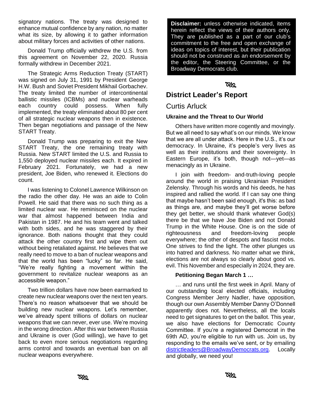signatory nations. The treaty was designed to enhance mutual confidence by any nation, no matter what its size, by allowing it to gather information about military forces and activities of other nations.

Donald Trump officially withdrew the U.S. from this agreement on November 22, 2020. Russia formally withdrew in December 2021.

The Strategic Arms Reduction Treaty (START) was signed on July 31, 1991 by President George H.W. Bush and Soviet President Mikhail Gorbachev. The treaty limited the number of intercontinental ballistic missiles (ICBMs) and nuclear warheads each country could possess. When fully implemented, the treaty eliminated about 80 per cent of all strategic nuclear weapons then in existence. Then began negotiations and passage of the New START Treaty.

Donald Trump was preparing to exit the New START Treaty, the one remaining treaty with Russia. New START limited the U.S. and Russia to 1,550 deployed nuclear missiles each. It expired in February 2021. Fortunately, we had a new president, Joe Biden, who renewed it. Elections do count.

I was listening to Colonel Lawrence Wilkinson on the radio the other day. He was an aide to Colin Powell. He said that there was no such thing as a limited nuclear war. He reminisced on the nuclear war that almost happened between India and Pakistan in 1987. He and his team went and talked with both sides, and he was staggered by their ignorance. Both nations thought that they could attack the other country first and wipe them out without being retaliated against. He believes that we really need to move to a ban of nuclear weapons and that the world has been "lucky" so far. He said, "We're really fighting a movement within the government to revitalize nuclear weapons as an accessible weapon."

Two trillion dollars have now been earmarked to create new nuclear weapons over the next ten years. There's no reason whatsoever that we should be building new nuclear weapons. Let's remember, we've already spent trillions of dollars on nuclear weapons that we can never, ever use. We're moving in the wrong direction. After this war between Russia and Ukraine is over (God willing), we have to get back to even more serious negotiations regarding arms control and towards an eventual ban on all nuclear weapons everywhere.

**Disclaimer:** unless otherwise indicated, items herein reflect the views of their authors only. They are published as a part of our club's commitment to the free and open exchange of ideas on topics of interest, but their publication should not be construed as an endorsement by the editor, the Steering Committee, or the Broadway Democrats club.

#### **RKI**

#### **District Leader's Report**

#### Curtis Arluck

#### **Ukraine and the Threat to Our World**

Others have written more cogently and movingly. But we all need to say what's on our minds. We know that we are all under attack. Here in the U.S., it's our democracy. In Ukraine, it's people's very lives as well as their institutions and their sovereignty. In Eastern Europe, it's both, though not—yet—as menacingly as in Ukraine.

I join with freedom- and-truth-loving people around the world in praising Ukrainian President Zelensky. Through his words and his deeds, he has inspired and rallied the world. If I can say one thing that maybe hasn't been said enough, it's this: as bad as things are, and maybe they'll get worse before they get better, we should thank whatever God(s) there be that we have Joe Biden and not Donald Trump in the White House. One is on the side of righteousness and freedom-loving people everywhere; the other of despots and fascist mobs. One strives to find the light. The other plunges us into hatred and darkness. No matter what we think, elections are not always so clearly about good vs. evil. This November and especially in 2024, they are.

#### **Petitioning Began March 1 …**

… and runs until the first week in April. Many of our outstanding local elected officials, including Congress Member Jerry Nadler, have opposition, though our own Assembly Member Danny O'Donnell apparently does not. Nevertheless, all the locals need to get signatures to get on the ballot. This year, we also have elections for Democratic County Committee. If you're a registered Democrat in the 69th AD, you're eligible to run with us. Join us, by responding to the emails we've sent, or by emailing [districtleaders@BroadwayDemocrats.org.](about:blank) Locally and globally, we need you!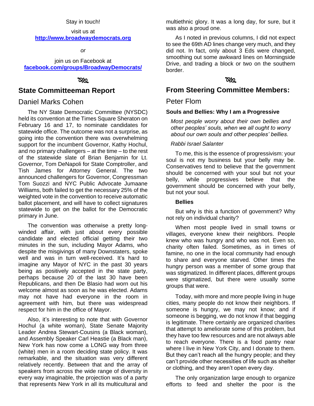#### Stay in touch!

#### visit us at **[http://www.broadwaydemocrats.org](http://www.broadwaydemocrats.org/)**

*or*

join us on Facebook at **[facebook.com/groups/BroadwayDemocrats/](file:///G:/2021.10.05%20Bdwy%20Dems%20newsletter/facebook.com/groups/BroadwayDemocrats/)**

#### ೧೫೦

#### **State Committeeman Report**

#### Daniel Marks Cohen

The NY State Democratic Committee (NYSDC) held its convention at the Times Square Sheraton on February 16 and 17, to nominate candidates for statewide office. The outcome was not a surprise, as going into the convention there was overwhelming support for the incumbent Governor, Kathy Hochul, and no primary challengers – at the time – to the rest of the statewide slate of Brian Benjamin for Lt. Governor, Tom DeNapoli for State Comptroller, and Tish James for Attorney General. The two announced challengers for Governor, Congressman Tom Suozzi and NYC Public Advocate Jumaane Williams, both failed to get the necessary 25% of the weighted vote in the convention to receive automatic ballot placement, and will have to collect signatures statewide to get on the ballot for the Democratic primary in June.

The convention was otherwise a pretty longwinded affair, with just about every possible candidate and elected official getting their two minutes in the sun, including Mayor Adams, who despite the misgivings of many Downstaters, spoke well and was in turn well-received. It's hard to imagine any Mayor of NYC in the past 30 years being as positively accepted in the state party, perhaps because 20 of the last 30 have been Republicans, and then De Blasio had worn out his welcome almost as soon as he was elected. Adams may not have had everyone in the room in agreement with him, but there was widespread respect for him in the office of Mayor.

Also, it's interesting to note that with Governor Hochul (a white woman), State Senate Majority Leader Andrea Stewart-Cousins (a Black woman), and Assembly Speaker Carl Heastie (a Black man), New York has now come a LONG way from three (white) men in a room deciding state policy. It was remarkable, and the situation was very different relatively recently. Between that and the array of speakers from across the wide range of diversity in every way imaginable, the projection was of a party that represents New York in all its multicultural and multiethnic glory. It was a long day, for sure, but it was also a proud one.

As I noted in previous columns, I did not expect to see the 69th AD lines change very much, and they did not. In fact, only about 3 Eds were changed, smoothing out some awkward lines on Morningside Drive, and trading a block or two on the southern border.

#### ত্ৰপ্ৰ

#### **From Steering Committee Members:**

#### Peter Flom

#### **Souls and Bellies: Why I am a Progressive**

*Most people worry about their own bellies and other peoples' souls, when we all ought to worry about our own souls and other peoples' bellies.*

#### *Rabbi Israel Salanter*

To me, this is the essence of progressivism: your soul is not my business but your belly may be. Conservatives tend to believe that the government should be concerned with your soul but not your belly, while progressives believe that the government should be concerned with your belly, but not your soul.

#### **Bellies**

But why is this a function of government? Why not rely on individual charity?

When most people lived in small towns or villages, everyone knew their neighbors. People knew who was hungry and who was not. Even so, charity often failed. Sometimes, as in times of famine, no one in the local community had enough to share and everyone starved. Other times the hungry person was a member of some group that was stigmatized. In different places, different groups were stigmatized, but there were usually some groups that were.

Today, with more and more people living in huge cities, many people do not know their neighbors. If someone is hungry, we may not know; and if someone is begging, we do not know if that begging is legitimate. There certainly are organized charities that attempt to ameliorate some of this problem, but they have too few resources and are not always able to reach everyone. There is a food pantry near where I live in New York City, and I donate to them. But they can't reach all the hungry people; and they can't provide other necessities of life such as shelter or clothing, and they aren't open every day.

The only organization large enough to organize efforts to feed and shelter the poor is the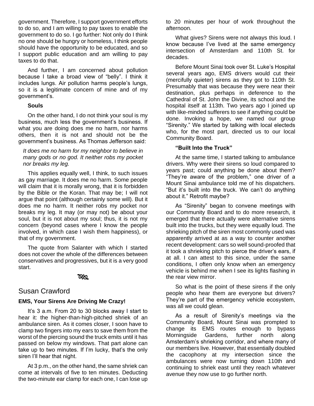government. Therefore, I support government efforts to do so, and I am willing to pay taxes to enable the government to do so. I go further: Not only do I think no one should be hungry or homeless, I think people should have the opportunity to be educated, and so I support public education and am willing to pay taxes to do that.

And further, I am concerned about pollution because I take a broad view of "belly". I think it includes lungs. Air pollution harms people's lungs, so it is a legitimate concern of mine and of my government's.

#### **Souls**

On the other hand, I do not think your soul is my business, much less the government's business. If what you are doing does me no harm, nor harms others, then it is not and should not be the government's business. As Thomas Jefferson said:

#### *It does me no harm for my neighbor to believe in many gods or no god. It neither robs my pocket nor breaks my leg.*

This applies equally well, I think, to such issues as gay marriage. It does me no harm. Some people will claim that it is morally wrong, that it is forbidden by the Bible or the Koran. That may be; I will not argue that point (although certainly some will). But it does me no harm. It neither robs my pocket nor breaks my leg. It may (or may not) be about your soul, but it is not about my soul; thus, it is not my concern (beyond cases where I know the people involved, in which case I wish them happiness), or that of my government.

The quote from Salanter with which I started does not cover the whole of the differences between conservatives and progressives, but it is a very good start.

#### ত&ত

#### Susan Crawford

#### **EMS, Your Sirens Are Driving Me Crazy!**

It's 3 a.m. From 20 to 30 blocks away I start to hear it: the higher-than-high-pitched shriek of an ambulance siren. As it comes closer, I soon have to clamp two fingers into my ears to save them from the worst of the piercing sound the truck emits until it has passed on below my windows. That part alone can take up to two minutes. If I'm lucky, that's the only siren I'll hear that night.

At 3 p.m., on the other hand, the same shriek can come at intervals of five to ten minutes. Deducting the two-minute ear clamp for each one, I can lose up to 20 minutes per hour of work throughout the afternoon.

What gives? Sirens were not always this loud. I know because I've lived at the same emergency intersection of Amsterdam and 110th St. for decades.

Before Mount Sinai took over St. Luke's Hospital several years ago, EMS drivers would cut their (mercifully quieter) sirens as they got to 110th St. Presumably that was because they were near their destination, plus perhaps in deference to the Cathedral of St. John the Divine, its school and the hospital itself at 113th. Two years ago I joined up with like-minded sufferers to see if anything could be done. Invoking a hope, we named our group "Sirenity." We started by talking with local electeds who, for the most part, directed us to our local Community Board.

#### **"Built Into the Truck"**

At the same time, I started talking to ambulance drivers. Why were their sirens so loud compared to years past; could anything be done about them? "They're aware of the problem," one driver of a Mount Sinai ambulance told me of his dispatchers. "But it's built into the truck. We can't do anything about it." Retrofit maybe?

As "Sirenity" began to convene meetings with our Community Board and to do more research, it emerged that there actually were alternative sirens built into the trucks, but they were equally loud. The shrieking pitch of the siren most commonly used was apparently arrived at as a way to counter another recent development: cars so well sound-proofed that it took a shrieking pitch to pierce the driver's ears, if at all. I can attest to this since, under the same conditions, I often only know when an emergency vehicle is behind me when I see its lights flashing in the rear view mirror.

So what is the point of these sirens if the only people who hear them are everyone but drivers? They're part of the emergency vehicle ecosystem, was all we could glean.

As a result of Sirenity's meetings via the Community Board, Mount Sinai was prompted to change its EMS routes enough to bypass Morningside Gardens, further north along Amsterdam's shrieking corridor, and where many of our members live. However, that essentially doubled the cacophony at my intersection since the ambulances were now turning down 110th and continuing to shriek east until they reach whatever avenue they now use to go further north.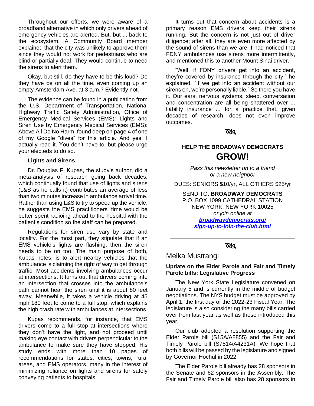Throughout our efforts, we were aware of a broadband alternative in which only drivers ahead of emergency vehicles are alerted. But, but ... back to the ecosystem. A Community Board member explained that the city was unlikely to approve them since they would not work for pedestrians who are blind or partially deaf. They would continue to need the sirens to alert them.

Okay, but still, do they have to be this loud? Do they have be on all the time, even coming up an empty Amsterdam Ave. at 3 a.m.? Evidently not.

The evidence can be found in a publication from the U.S. Department of Transportation, National Highway Traffic Safety Administration, Office of Emergency Medical Services (EMS): Lights and Siren Use by Emergency Medical Services (EMS): Above All Do No Harm, found deep on page 4 of one of my Google "dives" for this article. And yes, I actually read it. You don't have to, but please urge your electeds to do so.

#### **Lights and Sirens**

Dr. Douglas F. Kupas, the study's author, did a meta-analysis of research going back decades, which continually found that use of lights and sirens (L&S as he calls it) contributes an average of less than two minutes increase in ambulance arrival time. Rather than using L&S to try to speed up the vehicle, he suggests the EMS practitioners' time would be better spent radioing ahead to the hospital with the patient's condition so the staff can be prepared.

Regulations for siren use vary by state and locality. For the most part, they stipulate that if an EMS vehicle's lights are flashing, then the siren needs to be on too. The main purpose of both, Kupas notes, is to alert nearby vehicles that the ambulance is claiming the right of way to get through traffic. Most accidents involving ambulances occur at intersections. It turns out that drivers coming into an intersection that crosses into the ambulance's path cannot hear the siren until it is about 80 feet away. Meanwhile, it takes a vehicle driving at 45 mph 180 feet to come to a full stop, which explains the high crash rate with ambulances at intersections.

Kupas recommends, for instance, that EMS drivers come to a full stop at intersections where they don't have the light, and not proceed until making eye contact with drivers perpendicular to the ambulance to make sure they have stopped. His study ends with more than 10 pages of recommendations for states, cities, towns, rural areas, and EMS operators, many in the interest of minimizing reliance on lights and sirens for safely conveying patients to hospitals.

It turns out that concern about accidents is a primary reason EMS drivers keep their sirens running. But the concern is not just out of driver diligence; after all, they are even more affected by the sound of sirens than we are. I had noticed that FDNY ambulances use sirens more intermittently, and mentioned this to another Mount Sinai driver.

"Well, if FDNY drivers get into an accident, they're covered by insurance through the city," he explained. "If we get into an accident without our sirens on, we're personally liable." So there you have it. Our ears, nervous systems, sleep, conversation and concentration are all being shattered over ... liability insurance ... for a practice that, given decades of research, does not even improve outcomes.

ত্ৰপ্ৰ

#### **HELP THE BROADWAY DEMOCRATS GROW!**

*Pass this newsletter on to a friend or a new neighbor*

DUES: SENIORS \$10/yr, ALL OTHERS \$25/yr

SEND TO: **BROADWAY DEMOCRATS** P.O. BOX 1099 CATHEDRAL STATION NEW YORK, NEW YORK 10025 *or join online at [broadwaydemocrats.org/](http://www.broadwaydemocrats.org/sign-up-to-join-the-club.html) [sign-up-to-join-the-club.html](http://www.broadwaydemocrats.org/sign-up-to-join-the-club.html)*

#### **RX2**

#### Meika Mustrangi

#### **Update on the Elder Parole and Fair and Timely Parole bills: Legislative Progress**

The New York State Legislature convened on January 5 and is currently in the middle of budget negotiations. The NYS budget must be approved by April 1, the first day of the 2022-23 Fiscal Year. The legislature is also considering the many bills carried over from last year as well as those introduced this year.

Our club adopted a resolution supporting the Elder Parole bill (S15A/A8855) and the Fair and Timely Parole bill (S7514/A4231A). We hope that both bills will be passed by the legislature and signed by Governor Hochul in 2022.

The Elder Parole bill already has 28 sponsors in the Senate and 62 sponsors in the Assembly. The Fair and Timely Parole bill also has 28 sponsors in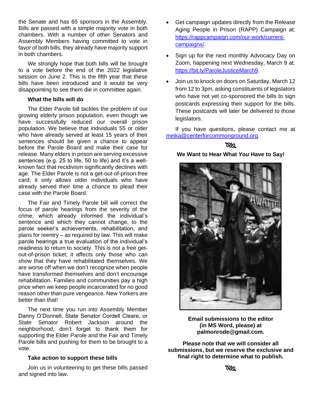the Senate and has 65 sponsors in the Assembly. Bills are passed with a simple majority vote in both chambers. With a number of other Senators and Assembly Members having committed to vote in favor of both bills, they already have majority support in both chambers.

We strongly hope that both bills will be brought to a vote before the end of the 2022 legislative session on June 2. This is the fifth year that these bills have been introduced and it would be very disappointing to see them die in committee again.

#### **What the bills will do**

The Elder Parole bill tackles the problem of our growing elderly prison population, even though we have successfully reduced our overall prison population. We believe that individuals 55 or older who have already served at least 15 years of their sentences should be given a chance to appear before the Parole Board and make their case for release. Many elders in prison are serving excessive sentences (e.g. 25 to life, 50 to life) and it's a wellknown fact that recidivism significantly declines with age. The Elder Parole is not a get-out-of-prison-free card; it only allows older individuals who have already served their time *a chance* to plead their case with the Parole Board.

The Fair and Timely Parole bill will correct the focus of parole hearings from the severity of the crime, which already informed the individual's sentence and which they cannot change, to the parole seeker's achievements, rehabilitation, and plans for reentry – as required by law. This will make parole hearings a true evaluation of the individual's readiness to return to society. This is not a free getout-of-prison ticket; it affects only those who can show that they have rehabilitated themselves. We are worse off when we don't recognize when people have transformed themselves and don't encourage rehabilitation. Families and communities pay a high price when we keep people incarcerated for no good reason other than pure vengeance. New Yorkers are better than that!

The next time you run into Assembly Member Danny O'Donnell, State Senator Cordell Cleare, or State Senator Robert Jackson around the neighborhood, don't forget to thank them for supporting the Elder Parole and the Fair and Timely Parole bills and pushing for them to be brought to a vote.

#### **Take action to support these bills**

Join us in volunteering to get these bills passed and signed into law.

- Get campaign updates directly from the Release Aging People in Prison (RAPP) Campaign at: [https://rappcampaign.com/our-work/current](https://rappcampaign.com/our-work/current-campaigns/)[campaigns/.](https://rappcampaign.com/our-work/current-campaigns/)
- Sign up for the next monthly Advocacy Day on Zoom, happening next Wednesday, March 9 at: [https://bit.ly/ParoleJusticeMarch9.](https://rappcampaign.us17.list-manage.com/track/click?u=a32aca276b267683f307baaa5&id=8ebfd127f3&e=8b22e39520)
- Join us to knock on doors on Saturday, March 12 from 12 to 3pm, asking constituents of legislators who have not yet co-sponsored the bills to sign postcards expressing their support for the bills. These postcards will later be delivered to those legislators.

If you have questions, please contact me at [meika@centerforcommonground.org.](mailto:meika@centerforcommonground.org)

#### ೧≪

#### **We Want to Hear What** *You* **Have to Say!**



**Email submissions to the editor (in MS Word, please) at palmonrode@gmail.com.**

**Please note that we will consider all submissions, but we reserve the exclusive and final right to determine what to publish.**